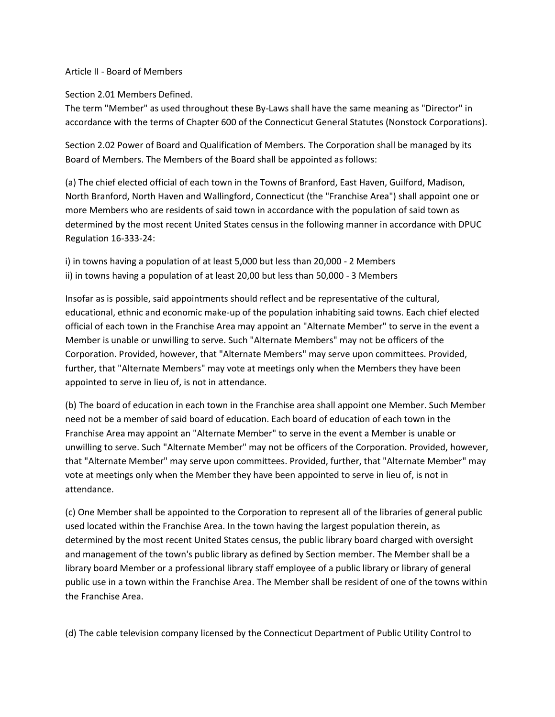## Article II - Board of Members

Section 2.01 Members Defined.

The term "Member" as used throughout these By-Laws shall have the same meaning as "Director" in accordance with the terms of Chapter 600 of the Connecticut General Statutes (Nonstock Corporations).

Section 2.02 Power of Board and Qualification of Members. The Corporation shall be managed by its Board of Members. The Members of the Board shall be appointed as follows:

(a) The chief elected official of each town in the Towns of Branford, East Haven, Guilford, Madison, North Branford, North Haven and Wallingford, Connecticut (the "Franchise Area") shall appoint one or more Members who are residents of said town in accordance with the population of said town as determined by the most recent United States census in the following manner in accordance with DPUC Regulation 16-333-24:

i) in towns having a population of at least 5,000 but less than 20,000 - 2 Members ii) in towns having a population of at least 20,00 but less than 50,000 - 3 Members

Insofar as is possible, said appointments should reflect and be representative of the cultural, educational, ethnic and economic make-up of the population inhabiting said towns. Each chief elected official of each town in the Franchise Area may appoint an "Alternate Member" to serve in the event a Member is unable or unwilling to serve. Such "Alternate Members" may not be officers of the Corporation. Provided, however, that "Alternate Members" may serve upon committees. Provided, further, that "Alternate Members" may vote at meetings only when the Members they have been appointed to serve in lieu of, is not in attendance.

(b) The board of education in each town in the Franchise area shall appoint one Member. Such Member need not be a member of said board of education. Each board of education of each town in the Franchise Area may appoint an "Alternate Member" to serve in the event a Member is unable or unwilling to serve. Such "Alternate Member" may not be officers of the Corporation. Provided, however, that "Alternate Member" may serve upon committees. Provided, further, that "Alternate Member" may vote at meetings only when the Member they have been appointed to serve in lieu of, is not in attendance.

(c) One Member shall be appointed to the Corporation to represent all of the libraries of general public used located within the Franchise Area. In the town having the largest population therein, as determined by the most recent United States census, the public library board charged with oversight and management of the town's public library as defined by Section member. The Member shall be a library board Member or a professional library staff employee of a public library or library of general public use in a town within the Franchise Area. The Member shall be resident of one of the towns within the Franchise Area.

(d) The cable television company licensed by the Connecticut Department of Public Utility Control to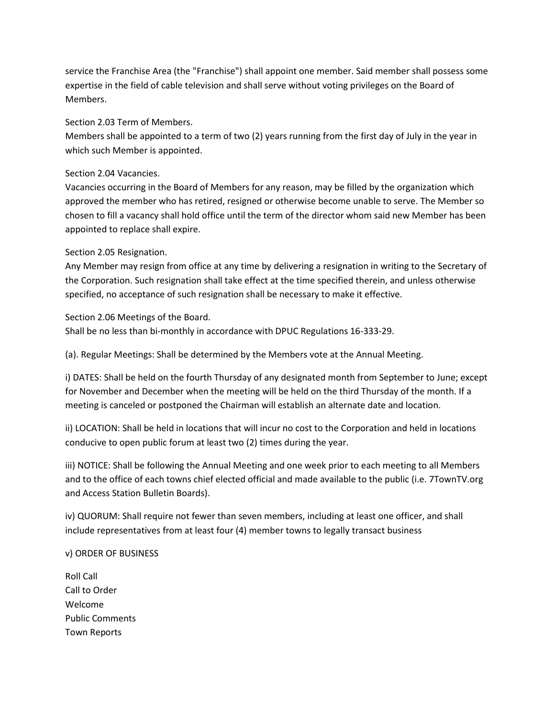service the Franchise Area (the "Franchise") shall appoint one member. Said member shall possess some expertise in the field of cable television and shall serve without voting privileges on the Board of Members.

Section 2.03 Term of Members.

Members shall be appointed to a term of two (2) years running from the first day of July in the year in which such Member is appointed.

Section 2.04 Vacancies.

Vacancies occurring in the Board of Members for any reason, may be filled by the organization which approved the member who has retired, resigned or otherwise become unable to serve. The Member so chosen to fill a vacancy shall hold office until the term of the director whom said new Member has been appointed to replace shall expire.

Section 2.05 Resignation.

Any Member may resign from office at any time by delivering a resignation in writing to the Secretary of the Corporation. Such resignation shall take effect at the time specified therein, and unless otherwise specified, no acceptance of such resignation shall be necessary to make it effective.

Section 2.06 Meetings of the Board.

Shall be no less than bi-monthly in accordance with DPUC Regulations 16-333-29.

(a). Regular Meetings: Shall be determined by the Members vote at the Annual Meeting.

i) DATES: Shall be held on the fourth Thursday of any designated month from September to June; except for November and December when the meeting will be held on the third Thursday of the month. If a meeting is canceled or postponed the Chairman will establish an alternate date and location.

ii) LOCATION: Shall be held in locations that will incur no cost to the Corporation and held in locations conducive to open public forum at least two (2) times during the year.

iii) NOTICE: Shall be following the Annual Meeting and one week prior to each meeting to all Members and to the office of each towns chief elected official and made available to the public (i.e. 7TownTV.org and Access Station Bulletin Boards).

iv) QUORUM: Shall require not fewer than seven members, including at least one officer, and shall include representatives from at least four (4) member towns to legally transact business

v) ORDER OF BUSINESS

Roll Call Call to Order Welcome Public Comments Town Reports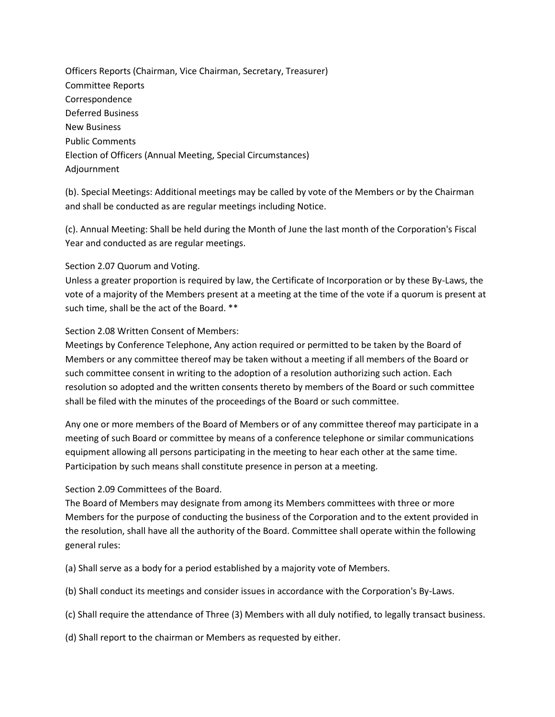Officers Reports (Chairman, Vice Chairman, Secretary, Treasurer) Committee Reports Correspondence Deferred Business New Business Public Comments Election of Officers (Annual Meeting, Special Circumstances) Adjournment

(b). Special Meetings: Additional meetings may be called by vote of the Members or by the Chairman and shall be conducted as are regular meetings including Notice.

(c). Annual Meeting: Shall be held during the Month of June the last month of the Corporation's Fiscal Year and conducted as are regular meetings.

## Section 2.07 Quorum and Voting.

Unless a greater proportion is required by law, the Certificate of Incorporation or by these By-Laws, the vote of a majority of the Members present at a meeting at the time of the vote if a quorum is present at such time, shall be the act of the Board. \*\*

Section 2.08 Written Consent of Members:

Meetings by Conference Telephone, Any action required or permitted to be taken by the Board of Members or any committee thereof may be taken without a meeting if all members of the Board or such committee consent in writing to the adoption of a resolution authorizing such action. Each resolution so adopted and the written consents thereto by members of the Board or such committee shall be filed with the minutes of the proceedings of the Board or such committee.

Any one or more members of the Board of Members or of any committee thereof may participate in a meeting of such Board or committee by means of a conference telephone or similar communications equipment allowing all persons participating in the meeting to hear each other at the same time. Participation by such means shall constitute presence in person at a meeting.

## Section 2.09 Committees of the Board.

The Board of Members may designate from among its Members committees with three or more Members for the purpose of conducting the business of the Corporation and to the extent provided in the resolution, shall have all the authority of the Board. Committee shall operate within the following general rules:

(a) Shall serve as a body for a period established by a majority vote of Members.

- (b) Shall conduct its meetings and consider issues in accordance with the Corporation's By-Laws.
- (c) Shall require the attendance of Three (3) Members with all duly notified, to legally transact business.
- (d) Shall report to the chairman or Members as requested by either.